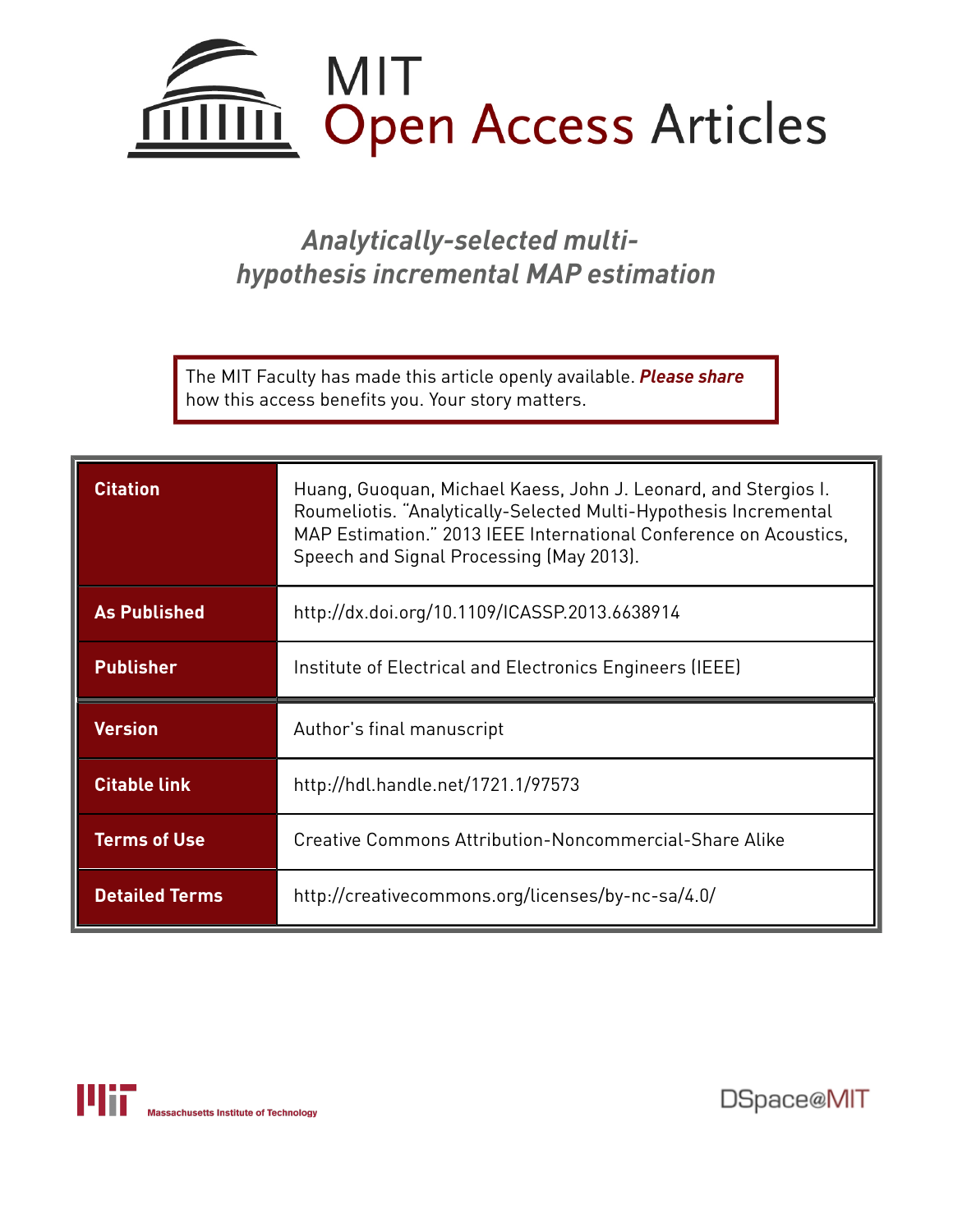

# *Analytically-selected multihypothesis incremental MAP estimation*

The MIT Faculty has made this article openly available. *[Please](https://libraries.mit.edu/forms/dspace-oa-articles.html) share* how this access benefits you. Your story matters.

| <b>Citation</b>     | Huang, Guoquan, Michael Kaess, John J. Leonard, and Stergios I.<br>Roumeliotis. "Analytically-Selected Multi-Hypothesis Incremental<br>MAP Estimation." 2013 IEEE International Conference on Acoustics,<br>Speech and Signal Processing (May 2013). |
|---------------------|------------------------------------------------------------------------------------------------------------------------------------------------------------------------------------------------------------------------------------------------------|
| <b>As Published</b> | http://dx.doi.org/10.1109/ICASSP.2013.6638914                                                                                                                                                                                                        |
| <b>Publisher</b>    | Institute of Electrical and Electronics Engineers (IEEE)                                                                                                                                                                                             |
|                     |                                                                                                                                                                                                                                                      |
| <b>Version</b>      | Author's final manuscript                                                                                                                                                                                                                            |
| <b>Citable link</b> | http://hdl.handle.net/1721.1/97573                                                                                                                                                                                                                   |
| <b>Terms of Use</b> | Creative Commons Attribution-Noncommercial-Share Alike                                                                                                                                                                                               |



DSpace@MIT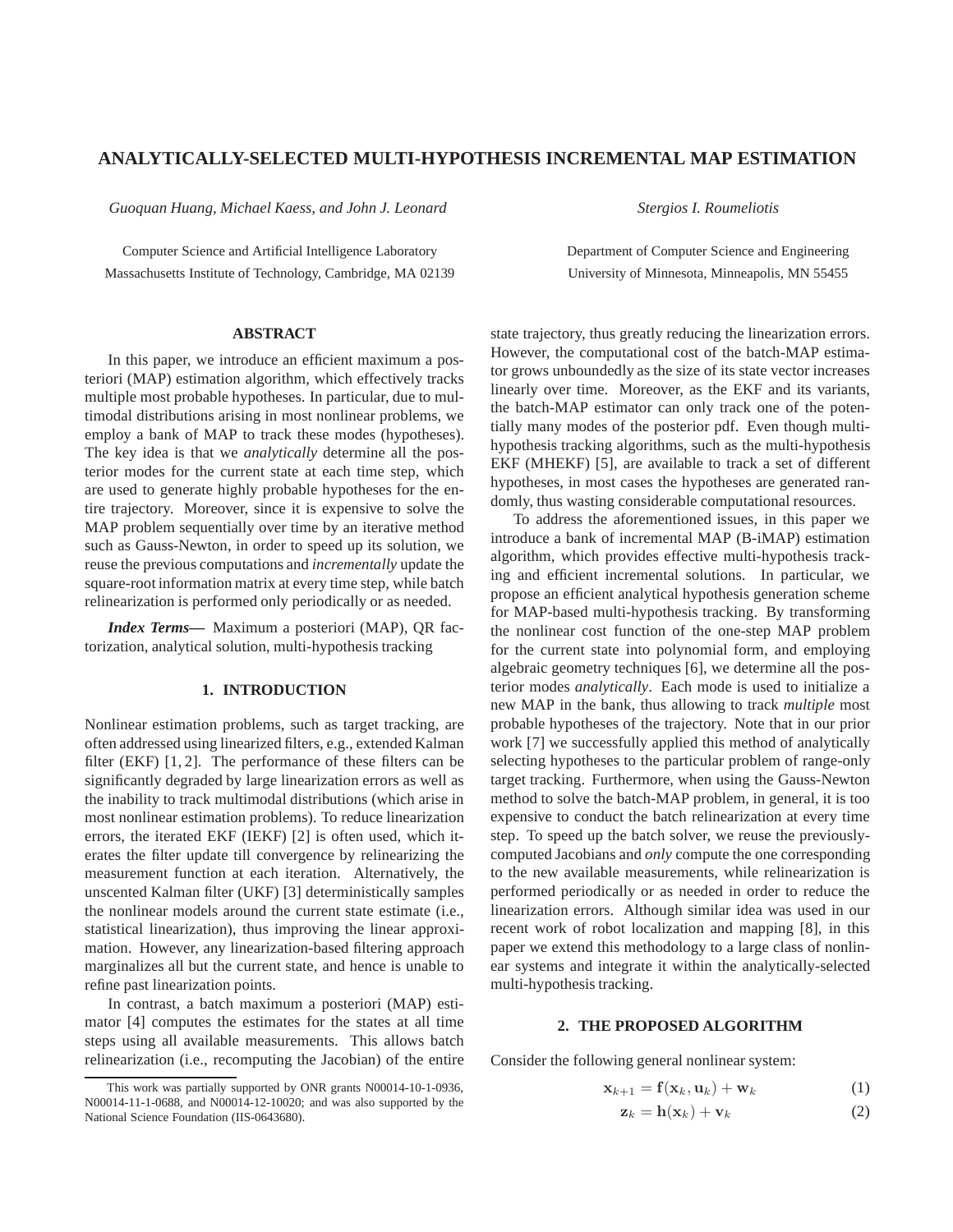# **ANALYTICALLY-SELECTED MULTI-HYPOTHESIS INCREMENTAL MAP ESTIMATION**

*Guoquan Huang, Michael Kaess, and John J. Leonard*

*Stergios I. Roumeliotis*

Department of Computer Science and Engineering University of Minnesota, Minneapolis, MN 55455

Computer Science and Artificial Intelligence Laboratory Massachusetts Institute of Technology, Cambridge, MA 02139

# **ABSTRACT**

In this paper, we introduce an efficient maximum a posteriori (MAP) estimation algorithm, which effectively tracks multiple most probable hypotheses. In particular, due to multimodal distributions arising in most nonlinear problems, we employ a bank of MAP to track these modes (hypotheses). The key idea is that we *analytically* determine all the posterior modes for the current state at each time step, which are used to generate highly probable hypotheses for the entire trajectory. Moreover, since it is expensive to solve the MAP problem sequentially over time by an iterative method such as Gauss-Newton, in order to speed up its solution, we reuse the previous computations and *incrementally* update the square-root information matrix at every time step, while batch relinearization is performed only periodically or as needed.

*Index Terms***—** Maximum a posteriori (MAP), QR factorization, analytical solution, multi-hypothesis tracking

## **1. INTRODUCTION**

Nonlinear estimation problems, such as target tracking, are often addressed using linearized filters, e.g., extended Kalman filter (EKF) [1, 2]. The performance of these filters can be significantly degraded by large linearization errors as well as the inability to track multimodal distributions (which arise in most nonlinear estimation problems). To reduce linearization errors, the iterated EKF (IEKF) [2] is often used, which iterates the filter update till convergence by relinearizing the measurement function at each iteration. Alternatively, the unscented Kalman filter (UKF) [3] deterministically samples the nonlinear models around the current state estimate (i.e., statistical linearization), thus improving the linear approximation. However, any linearization-based filtering approach marginalizes all but the current state, and hence is unable to refine past linearization points.

In contrast, a batch maximum a posteriori (MAP) estimator [4] computes the estimates for the states at all time steps using all available measurements. This allows batch relinearization (i.e., recomputing the Jacobian) of the entire state trajectory, thus greatly reducing the linearization errors. However, the computational cost of the batch-MAP estimator grows unboundedly as the size of its state vector increases linearly over time. Moreover, as the EKF and its variants, the batch-MAP estimator can only track one of the potentially many modes of the posterior pdf. Even though multihypothesis tracking algorithms, such as the multi-hypothesis EKF (MHEKF) [5], are available to track a set of different hypotheses, in most cases the hypotheses are generated randomly, thus wasting considerable computational resources.

To address the aforementioned issues, in this paper we introduce a bank of incremental MAP (B-iMAP) estimation algorithm, which provides effective multi-hypothesis tracking and efficient incremental solutions. In particular, we propose an efficient analytical hypothesis generation scheme for MAP-based multi-hypothesis tracking. By transforming the nonlinear cost function of the one-step MAP problem for the current state into polynomial form, and employing algebraic geometry techniques [6], we determine all the posterior modes *analytically*. Each mode is used to initialize a new MAP in the bank, thus allowing to track *multiple* most probable hypotheses of the trajectory. Note that in our prior work [7] we successfully applied this method of analytically selecting hypotheses to the particular problem of range-only target tracking. Furthermore, when using the Gauss-Newton method to solve the batch-MAP problem, in general, it is too expensive to conduct the batch relinearization at every time step. To speed up the batch solver, we reuse the previouslycomputed Jacobians and *only* compute the one corresponding to the new available measurements, while relinearization is performed periodically or as needed in order to reduce the linearization errors. Although similar idea was used in our recent work of robot localization and mapping [8], in this paper we extend this methodology to a large class of nonlinear systems and integrate it within the analytically-selected multi-hypothesis tracking.

#### **2. THE PROPOSED ALGORITHM**

Consider the following general nonlinear system:

$$
\mathbf{x}_{k+1} = \mathbf{f}(\mathbf{x}_k, \mathbf{u}_k) + \mathbf{w}_k \tag{1}
$$

$$
\mathbf{z}_k = \mathbf{h}(\mathbf{x}_k) + \mathbf{v}_k \tag{2}
$$

This work was partially supported by ONR grants N00014-10-1-0936, N00014-11-1-0688, and N00014-12-10020; and was also supported by the National Science Foundation (IIS-0643680).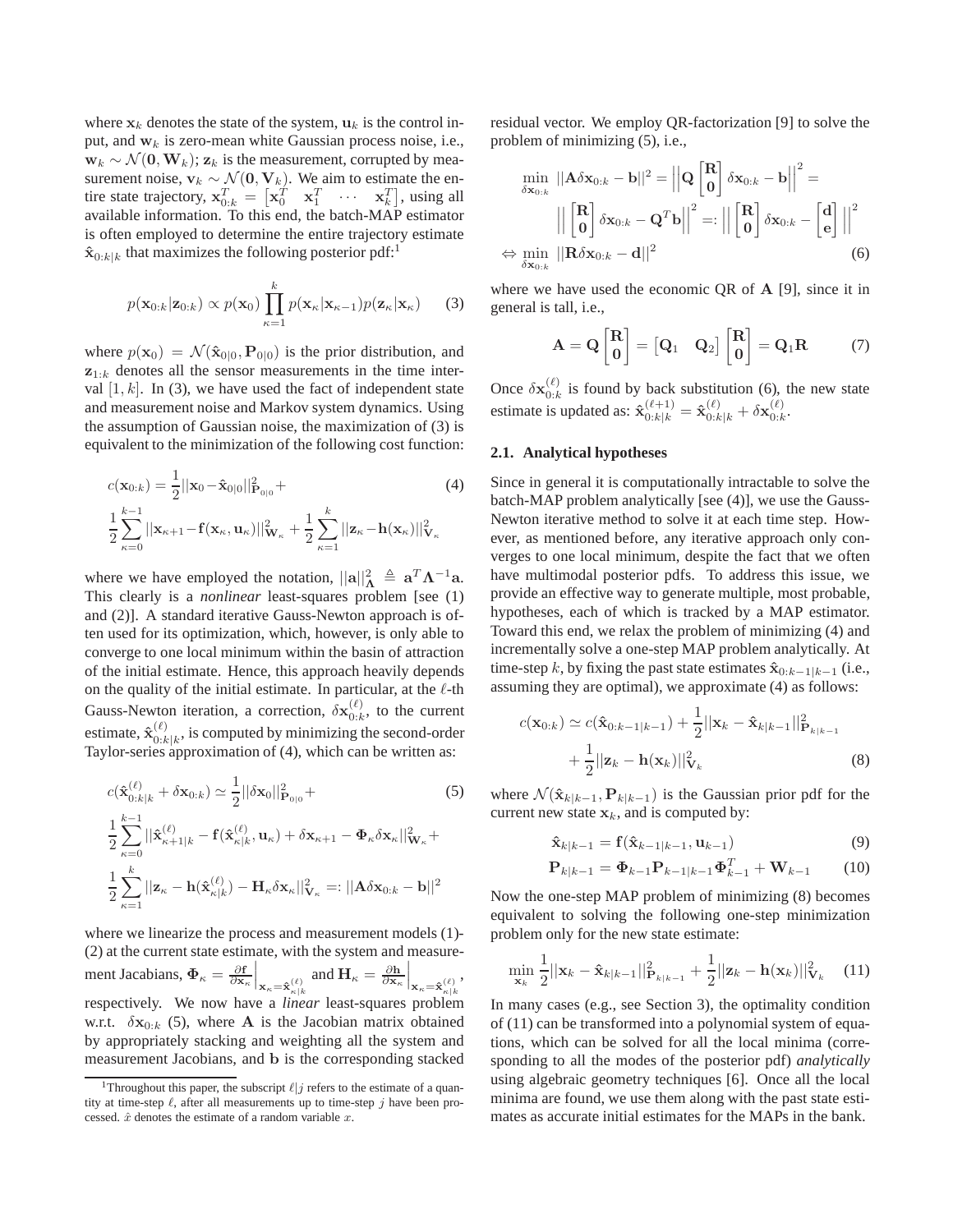where  $x_k$  denotes the state of the system,  $u_k$  is the control input, and  $w_k$  is zero-mean white Gaussian process noise, i.e.,  $\mathbf{w}_k \sim \mathcal{N}(\mathbf{0}, \mathbf{W}_k)$ ;  $\mathbf{z}_k$  is the measurement, corrupted by measurement noise,  $v_k \sim \mathcal{N}(\mathbf{0}, \mathbf{V}_k)$ . We aim to estimate the entire state trajectory,  $\mathbf{x}_{0:k}^T = [\mathbf{x}_0^T \quad \mathbf{x}_1^T \quad \cdots \quad \mathbf{x}_k^T]$ , using all available information. To this end, the batch-MAP estimator is often employed to determine the entire trajectory estimate  $\mathbf{\hat{x}}_{0:k|k}$  that maximizes the following posterior pdf:<sup>1</sup>

$$
p(\mathbf{x}_{0:k}|\mathbf{z}_{0:k}) \propto p(\mathbf{x}_0) \prod_{\kappa=1}^k p(\mathbf{x}_{\kappa}|\mathbf{x}_{\kappa-1}) p(\mathbf{z}_{\kappa}|\mathbf{x}_{\kappa})
$$
 (3)

where  $p(\mathbf{x}_0) = \mathcal{N}(\hat{\mathbf{x}}_{0|0}, \mathbf{P}_{0|0})$  is the prior distribution, and  $z_{1:k}$  denotes all the sensor measurements in the time interval  $[1, k]$ . In (3), we have used the fact of independent state and measurement noise and Markov system dynamics. Using the assumption of Gaussian noise, the maximization of (3) is equivalent to the minimization of the following cost function:

$$
c(\mathbf{x}_{0:k}) = \frac{1}{2} ||\mathbf{x}_0 - \hat{\mathbf{x}}_{0|0}||_{\mathbf{P}_{0|0}}^2 +
$$
  

$$
\frac{1}{2} \sum_{\kappa=0}^{k-1} ||\mathbf{x}_{\kappa+1} - \mathbf{f}(\mathbf{x}_{\kappa}, \mathbf{u}_{\kappa})||_{\mathbf{W}_{\kappa}}^2 + \frac{1}{2} \sum_{\kappa=1}^k ||\mathbf{z}_{\kappa} - \mathbf{h}(\mathbf{x}_{\kappa})||_{\mathbf{V}_{\kappa}}^2
$$
(4)

where we have employed the notation,  $||\mathbf{a}||_{\mathbf{\Lambda}}^2 \triangleq \mathbf{a}^T \mathbf{\Lambda}^{-1} \mathbf{a}$ . This clearly is a *nonlinear* least-squares problem [see (1) and (2)]. A standard iterative Gauss-Newton approach is often used for its optimization, which, however, is only able to converge to one local minimum within the basin of attraction of the initial estimate. Hence, this approach heavily depends on the quality of the initial estimate. In particular, at the  $\ell$ -th Gauss-Newton iteration, a correction,  $\delta \mathbf{x}_{0:k}^{(\ell)}$  $_{0:k}^{(\ell)}$ , to the current estimate,  $\hat{\mathbf{x}}_{0:k}^{(\ell)}$  $\binom{(\ell)}{0:k|k}$ , is computed by minimizing the second-order Taylor-series approximation of (4), which can be written as:

$$
c(\hat{\mathbf{x}}_{0:k|k}^{(\ell)} + \delta \mathbf{x}_{0:k}) \simeq \frac{1}{2} ||\delta \mathbf{x}_0||_{\mathbf{P}_{0|0}}^2 +
$$
\n
$$
\frac{1}{2} \sum_{\kappa=0}^{k-1} ||\hat{\mathbf{x}}_{\kappa+1|k}^{(\ell)} - \mathbf{f}(\hat{\mathbf{x}}_{\kappa|k}^{(\ell)}, \mathbf{u}_{\kappa}) + \delta \mathbf{x}_{\kappa+1} - \Phi_{\kappa} \delta \mathbf{x}_{\kappa}||_{\mathbf{W}_{\kappa}}^2 +
$$
\n
$$
\frac{1}{2} \sum_{\kappa=1}^k ||\mathbf{z}_{\kappa} - \mathbf{h}(\hat{\mathbf{x}}_{\kappa|k}^{(\ell)}) - \mathbf{H}_{\kappa} \delta \mathbf{x}_{\kappa}||_{\mathbf{V}_{\kappa}}^2 =: ||\mathbf{A} \delta \mathbf{x}_{0:k} - \mathbf{b}||^2
$$

where we linearize the process and measurement models (1)- (2) at the current state estimate, with the system and measurement Jacabians,  $\Phi_{\kappa} = \frac{\partial \mathbf{f}}{\partial \mathbf{x}_{\kappa}} \bigg|_{\mathbf{x}_{\kappa} = \hat{\mathbf{x}}_{\kappa | k}^{(\ell)}}$  and  $\mathbf{H}_{\kappa} = \frac{\partial \mathbf{h}}{\partial \mathbf{x}_{\kappa}} \bigg|_{\mathbf{x}_{\kappa} = \hat{\mathbf{x}}_{\kappa | k}^{(\ell)}}$ , respectively. We now have a *linear* least-squares problem w.r.t.  $\delta x_{0:k}$  (5), where **A** is the Jacobian matrix obtained by appropriately stacking and weighting all the system and measurement Jacobians, and b is the corresponding stacked

residual vector. We employ QR-factorization [9] to solve the problem of minimizing (5), i.e.,

$$
\min_{\delta \mathbf{x}_{0:k}} ||\mathbf{A}\delta \mathbf{x}_{0:k} - \mathbf{b}||^2 = \left||\mathbf{Q} \begin{bmatrix} \mathbf{R} \\ \mathbf{0} \end{bmatrix} \delta \mathbf{x}_{0:k} - \mathbf{b} \right||^2 =
$$
\n
$$
||\begin{bmatrix} \mathbf{R} \\ \mathbf{0} \end{bmatrix} \delta \mathbf{x}_{0:k} - \mathbf{Q}^T \mathbf{b}||^2 =: ||\begin{bmatrix} \mathbf{R} \\ \mathbf{0} \end{bmatrix} \delta \mathbf{x}_{0:k} - \begin{bmatrix} \mathbf{d} \\ \mathbf{e} \end{bmatrix}||^2
$$
\n
$$
\Leftrightarrow \min_{\delta \mathbf{x}_{0:k}} ||\mathbf{R}\delta \mathbf{x}_{0:k} - \mathbf{d}||^2
$$
\n(6)

where we have used the economic QR of A [9], since it in general is tall, i.e.,

$$
\mathbf{A} = \mathbf{Q} \begin{bmatrix} \mathbf{R} \\ \mathbf{0} \end{bmatrix} = \begin{bmatrix} \mathbf{Q}_1 & \mathbf{Q}_2 \end{bmatrix} \begin{bmatrix} \mathbf{R} \\ \mathbf{0} \end{bmatrix} = \mathbf{Q}_1 \mathbf{R} \tag{7}
$$

Once  $\delta \mathbf{x}_{0:k}^{(\ell)}$  is found by back substitution (6), the new state  $0:k$ estimate is updated as:  $\mathbf{\hat{x}}_{0:k|k}^{(\ell+1)} = \mathbf{\hat{x}}_{0:k|k}^{(\ell)} + \delta\mathbf{x}_{0:k}^{(\ell)}$  $_{0:k}^{\left( \ell \right) }$ 

# **2.1. Analytical hypotheses**

Since in general it is computationally intractable to solve the batch-MAP problem analytically [see (4)], we use the Gauss-Newton iterative method to solve it at each time step. However, as mentioned before, any iterative approach only converges to one local minimum, despite the fact that we often have multimodal posterior pdfs. To address this issue, we provide an effective way to generate multiple, most probable, hypotheses, each of which is tracked by a MAP estimator. Toward this end, we relax the problem of minimizing (4) and incrementally solve a one-step MAP problem analytically. At time-step k, by fixing the past state estimates  $\hat{\mathbf{x}}_{0:k-1|k-1}$  (i.e., assuming they are optimal), we approximate (4) as follows:

$$
c(\mathbf{x}_{0:k}) \simeq c(\hat{\mathbf{x}}_{0:k-1|k-1}) + \frac{1}{2} ||\mathbf{x}_k - \hat{\mathbf{x}}_{k|k-1}||_{\mathbf{P}_{k|k-1}}^2 + \frac{1}{2} ||\mathbf{z}_k - \mathbf{h}(\mathbf{x}_k)||_{\mathbf{V}_k}^2
$$
(8)

where  $\mathcal{N}(\hat{\mathbf{x}}_{k|k-1}, \mathbf{P}_{k|k-1})$  is the Gaussian prior pdf for the current new state  $x_k$ , and is computed by:

$$
\hat{\mathbf{x}}_{k|k-1} = \mathbf{f}(\hat{\mathbf{x}}_{k-1|k-1}, \mathbf{u}_{k-1})
$$
\n(9)

$$
\mathbf{P}_{k|k-1} = \mathbf{\Phi}_{k-1} \mathbf{P}_{k-1|k-1} \mathbf{\Phi}_{k-1}^T + \mathbf{W}_{k-1} \qquad (10)
$$

Now the one-step MAP problem of minimizing (8) becomes equivalent to solving the following one-step minimization problem only for the new state estimate:

$$
\min_{\mathbf{x}_k} \frac{1}{2} ||\mathbf{x}_k - \hat{\mathbf{x}}_{k|k-1}||_{\mathbf{P}_{k|k-1}}^2 + \frac{1}{2} ||\mathbf{z}_k - \mathbf{h}(\mathbf{x}_k)||_{\mathbf{V}_k}^2 \quad (11)
$$

In many cases (e.g., see Section 3), the optimality condition of (11) can be transformed into a polynomial system of equations, which can be solved for all the local minima (corresponding to all the modes of the posterior pdf) *analytically* using algebraic geometry techniques [6]. Once all the local minima are found, we use them along with the past state estimates as accurate initial estimates for the MAPs in the bank.

<sup>&</sup>lt;sup>1</sup>Throughout this paper, the subscript  $\ell | j$  refers to the estimate of a quantity at time-step  $\ell$ , after all measurements up to time-step  $j$  have been processed.  $\hat{x}$  denotes the estimate of a random variable  $x$ .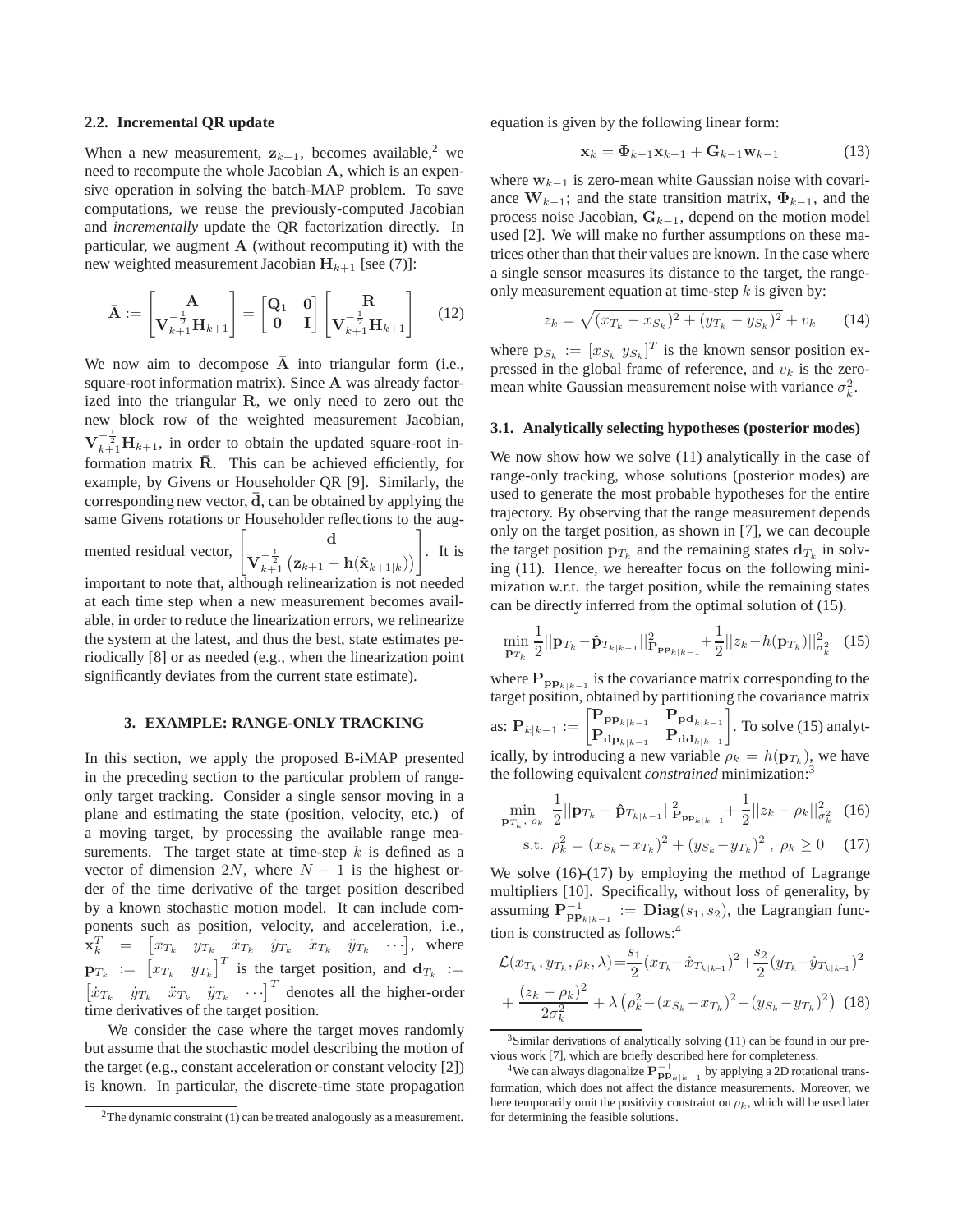#### **2.2. Incremental QR update**

When a new measurement,  $z_{k+1}$ , becomes available,<sup>2</sup> we need to recompute the whole Jacobian A, which is an expensive operation in solving the batch-MAP problem. To save computations, we reuse the previously-computed Jacobian and *incrementally* update the QR factorization directly. In particular, we augment  $A$  (without recomputing it) with the new weighted measurement Jacobian  $H_{k+1}$  [see (7)]:

$$
\bar{\mathbf{A}} := \begin{bmatrix} \mathbf{A} \\ \mathbf{V}_{k+1}^{-\frac{1}{2}} \mathbf{H}_{k+1} \end{bmatrix} = \begin{bmatrix} \mathbf{Q}_1 & \mathbf{0} \\ \mathbf{0} & \mathbf{I} \end{bmatrix} \begin{bmatrix} \mathbf{R} \\ \mathbf{V}_{k+1}^{-\frac{1}{2}} \mathbf{H}_{k+1} \end{bmatrix}
$$
(12)

We now aim to decompose  $\overline{A}$  into triangular form (i.e., square-root information matrix). Since A was already factorized into the triangular R, we only need to zero out the new block row of the weighted measurement Jacobian,  $\mathbf{V}_{k+1}^{-\frac{1}{2}}\mathbf{H}_{k+1}$ , in order to obtain the updated square-root information matrix  $\bar{R}$ . This can be achieved efficiently, for example, by Givens or Householder QR [9]. Similarly, the corresponding new vector,  $\overline{d}$ , can be obtained by applying the same Givens rotations or Householder reflections to the augmented residual vector, d  $\mathbf{V}_{k+1}^{-\frac{1}{2}} \left( \mathbf{z}_{k+1} - \mathbf{h}(\hat{\mathbf{x}}_{k+1|k}) \right)$ 1 . It is

important to note that, although relinearization is not needed at each time step when a new measurement becomes available, in order to reduce the linearization errors, we relinearize the system at the latest, and thus the best, state estimates periodically [8] or as needed (e.g., when the linearization point significantly deviates from the current state estimate).

# **3. EXAMPLE: RANGE-ONLY TRACKING**

In this section, we apply the proposed B-iMAP presented in the preceding section to the particular problem of rangeonly target tracking. Consider a single sensor moving in a plane and estimating the state (position, velocity, etc.) of a moving target, by processing the available range measurements. The target state at time-step  $k$  is defined as a vector of dimension 2N, where  $N - 1$  is the highest order of the time derivative of the target position described by a known stochastic motion model. It can include components such as position, velocity, and acceleration, i.e.,  $\mathbf{x}_k^T = \begin{bmatrix} x_{T_k} & y_{T_k} & \dot{x}_{T_k} & \dot{y}_{T_k} & \ddot{x}_{T_k} & \dot{y}_{T_k} & \cdots \end{bmatrix}$ , where  $\mathbf{p}_{T_k} := \begin{bmatrix} x_{T_k} & y_{T_k} \end{bmatrix}^T$  is the target position, and  $\mathbf{d}_{T_k} :=$  $[\dot{x}_{T_k} \quad \dot{y}_{T_k} \quad \ddot{x}_{T_k} \quad \cdots]^T$  denotes all the higher-order time derivatives of the target position.

We consider the case where the target moves randomly but assume that the stochastic model describing the motion of the target (e.g., constant acceleration or constant velocity [2]) is known. In particular, the discrete-time state propagation equation is given by the following linear form:

$$
\mathbf{x}_k = \mathbf{\Phi}_{k-1} \mathbf{x}_{k-1} + \mathbf{G}_{k-1} \mathbf{w}_{k-1} \tag{13}
$$

where  $w_{k-1}$  is zero-mean white Gaussian noise with covariance  $W_{k-1}$ ; and the state transition matrix,  $\Phi_{k-1}$ , and the process noise Jacobian,  $G_{k-1}$ , depend on the motion model used [2]. We will make no further assumptions on these matrices other than that their values are known. In the case where a single sensor measures its distance to the target, the rangeonly measurement equation at time-step  $k$  is given by:

$$
z_k = \sqrt{(x_{T_k} - x_{S_k})^2 + (y_{T_k} - y_{S_k})^2} + v_k \qquad (14)
$$

where  $\mathbf{p}_{S_k} := [x_{S_k} y_{S_k}]^T$  is the known sensor position expressed in the global frame of reference, and  $v_k$  is the zeromean white Gaussian measurement noise with variance  $\sigma_k^2$ .

#### **3.1. Analytically selecting hypotheses (posterior modes)**

We now show how we solve  $(11)$  analytically in the case of range-only tracking, whose solutions (posterior modes) are used to generate the most probable hypotheses for the entire trajectory. By observing that the range measurement depends only on the target position, as shown in [7], we can decouple the target position  $\mathbf{p}_{T_k}$  and the remaining states  $\mathbf{d}_{T_k}$  in solving (11). Hence, we hereafter focus on the following minimization w.r.t. the target position, while the remaining states can be directly inferred from the optimal solution of (15).

$$
\min_{\mathbf{p}_{T_k}} \frac{1}{2} ||\mathbf{p}_{T_k} - \hat{\mathbf{p}}_{T_{k|k-1}}||_{\mathbf{P}_{\mathbf{p}_{R|k-1}}}^2 + \frac{1}{2} ||z_k - h(\mathbf{p}_{T_k})||_{\sigma_k^2}^2 \quad (15)
$$

where  $\mathbf{P}_{\mathbf{pp}_{k|k-1}}$  is the covariance matrix corresponding to the target position, obtained by partitioning the covariance matrix  $\text{as: } \mathbf{P}_{k|k-1} := \begin{bmatrix} \mathbf{P}_{\mathbf{p} \mathbf{p}_{k|k-1}} & \mathbf{P}_{\mathbf{p} \mathbf{d}_{k|k-1}} \ \mathbf{p} \end{bmatrix}$  $\mathbf{P}_{\mathbf{dp}_{k|k-1}}$   $\mathbf{P}_{\mathbf{dd}_{k|k-1}}$ . To solve (15) analytically, by introducing a new variable  $\rho_k = h(\mathbf{p}_{T_k})$ , we have the following equivalent *constrained* minimization:<sup>3</sup>

$$
\min_{\mathbf{p}_{T_k}, \ \rho_k} \ \frac{1}{2} ||\mathbf{p}_{T_k} - \hat{\mathbf{p}}_{T_{k|k-1}}||^2_{\mathbf{p}_{\mathbf{p}_{k|k-1}}} + \frac{1}{2} ||z_k - \rho_k||^2_{\sigma_k^2} \tag{16}
$$

s.t. 
$$
\rho_k^2 = (x_{S_k} - x_{T_k})^2 + (y_{S_k} - y_{T_k})^2
$$
,  $\rho_k \ge 0$  (17)

We solve  $(16)-(17)$  by employing the method of Lagrange multipliers [10]. Specifically, without loss of generality, by assuming  $\mathbf{P}_{\mathbf{p}_{\mathbf{p}_{k|k-1}}}^{-1} := \mathbf{Diag}(s_1, s_2)$ , the Lagrangian function is constructed as follows:<sup>4</sup>

$$
\mathcal{L}(x_{T_k}, y_{T_k}, \rho_k, \lambda) = \frac{s_1}{2} (x_{T_k} - \hat{x}_{T_{k|k-1}})^2 + \frac{s_2}{2} (y_{T_k} - \hat{y}_{T_{k|k-1}})^2
$$

$$
+ \frac{(z_k - \rho_k)^2}{2\sigma_k^2} + \lambda (\rho_k^2 - (x_{S_k} - x_{T_k})^2 - (y_{S_k} - y_{T_k})^2) (18)
$$

 $2$ The dynamic constraint (1) can be treated analogously as a measurement.

<sup>&</sup>lt;sup>3</sup>Similar derivations of analytically solving (11) can be found in our previous work [7], which are briefly described here for completeness.

<sup>&</sup>lt;sup>4</sup>We can always diagonalize  $\mathbf{P}_{\mathbf{p} \mathbf{p}_{k|k-1}}^{-1}$  by applying a 2D rotational transformation, which does not affect the distance measurements. Moreover, we here temporarily omit the positivity constraint on  $\rho_k$ , which will be used later for determining the feasible solutions.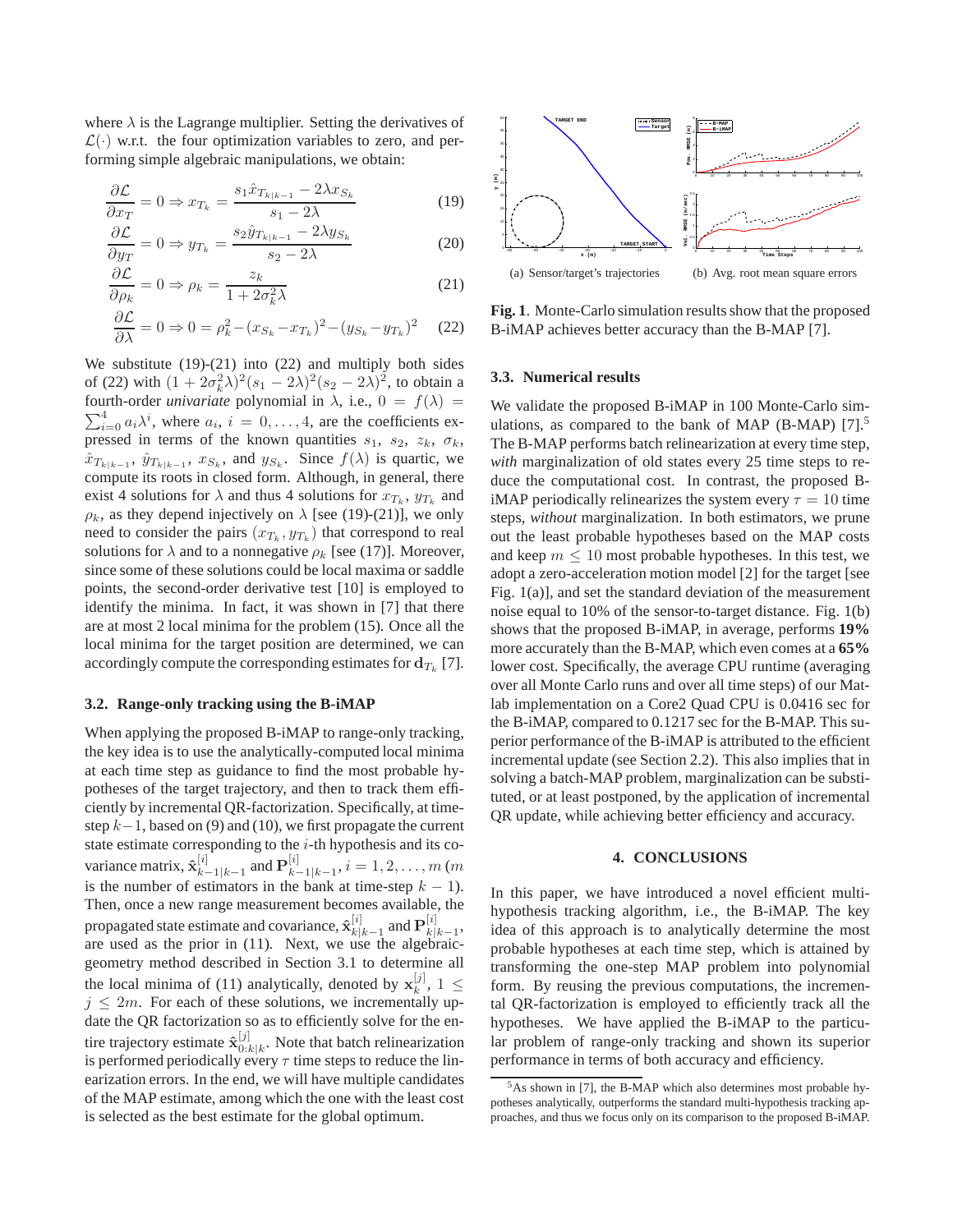where  $\lambda$  is the Lagrange multiplier. Setting the derivatives of  $\mathcal{L}(\cdot)$  w.r.t. the four optimization variables to zero, and performing simple algebraic manipulations, we obtain:

$$
\frac{\partial \mathcal{L}}{\partial x_T} = 0 \Rightarrow x_{T_k} = \frac{s_1 \hat{x}_{T_{k|k-1}} - 2\lambda x_{S_k}}{s_1 - 2\lambda} \tag{19}
$$

$$
\frac{\partial \mathcal{L}}{\partial y_T} = 0 \Rightarrow y_{T_k} = \frac{s_2 \hat{y}_{T_{k|k-1}} - 2\lambda y_{S_k}}{s_2 - 2\lambda}
$$
(20)

$$
\frac{\partial \mathcal{L}}{\partial \rho_k} = 0 \Rightarrow \rho_k = \frac{z_k}{1 + 2\sigma_k^2 \lambda}
$$
 (21)

$$
\frac{\partial \mathcal{L}}{\partial \lambda} = 0 \Rightarrow 0 = \rho_k^2 - (x_{S_k} - x_{T_k})^2 - (y_{S_k} - y_{T_k})^2 \tag{22}
$$

We substitute  $(19)-(21)$  into  $(22)$  and multiply both sides of (22) with  $(1 + 2\sigma_k^2 \lambda)^2 (s_1 - 2\lambda)^2 (s_2 - 2\lambda)^2$ , to obtain a fourth-order *univariate* polynomial in  $\lambda$ , i.e.,  $0 = f(\lambda)$  $\sum_{i=0}^{4} a_i \lambda^i$ , where  $a_i$ ,  $i = 0, \dots, 4$ , are the coefficients expressed in terms of the known quantities  $s_1$ ,  $s_2$ ,  $z_k$ ,  $\sigma_k$ ,  $\hat{x}_{T_{k|k-1}}, \hat{y}_{T_{k|k-1}}, x_{S_k}$ , and  $y_{S_k}$ . Since  $f(\lambda)$  is quartic, we compute its roots in closed form. Although, in general, there exist 4 solutions for  $\lambda$  and thus 4 solutions for  $x_{T_k}$ ,  $y_{T_k}$  and  $\rho_k$ , as they depend injectively on  $\lambda$  [see (19)-(21)], we only need to consider the pairs  $(x_{T_k}, y_{T_k})$  that correspond to real solutions for  $\lambda$  and to a nonnegative  $\rho_k$  [see (17)]. Moreover, since some of these solutions could be local maxima or saddle points, the second-order derivative test [10] is employed to identify the minima. In fact, it was shown in [7] that there are at most 2 local minima for the problem (15). Once all the local minima for the target position are determined, we can accordingly compute the corresponding estimates for  $\mathbf{d}_{T_k}$  [7].

### **3.2. Range-only tracking using the B-iMAP**

When applying the proposed B-iMAP to range-only tracking, the key idea is to use the analytically-computed local minima at each time step as guidance to find the most probable hypotheses of the target trajectory, and then to track them efficiently by incremental QR-factorization. Specifically, at timestep  $k-1$ , based on (9) and (10), we first propagate the current state estimate corresponding to the  $i$ -th hypothesis and its covariance matrix,  $\hat{\mathbf{x}}_{k}^{[i]}$  $\frac{[i]}{k-1|k-1}$  and  $\mathbf{P}_{k-1}^{[i]}$  $a_{k-1|k-1}^{[i]}, i = 1, 2, \ldots, m$  (m is the number of estimators in the bank at time-step  $k - 1$ ). Then, once a new range measurement becomes available, the propagated state estimate and covariance,  $\hat{\mathbf{x}}_{k}^{[i]}$  $\frac{[i]}{k|k-1}$  and  $\mathbf{P}^{[i]}_{k|}$  $\genfrac{[}{]}{0pt}{}{l}{k}k-1$ are used as the prior in (11). Next, we use the algebraicgeometry method described in Section 3.1 to determine all the local minima of (11) analytically, denoted by  $x_k^{[j]}$  $_k^{\lfloor j \rfloor}, 1 \leq$  $j \leq 2m$ . For each of these solutions, we incrementally update the QR factorization so as to efficiently solve for the entire trajectory estimate  $\hat{\mathbf{x}}_{0,i}^{[j]}$  $\mathbb{D}^{[1]}_{0:k|k}$ . Note that batch relinearization is performed periodically every  $\tau$  time steps to reduce the linearization errors. In the end, we will have multiple candidates of the MAP estimate, among which the one with the least cost is selected as the best estimate for the global optimum.



**Fig. 1**. Monte-Carlo simulation results show that the proposed B-iMAP achieves better accuracy than the B-MAP [7].

## **3.3. Numerical results**

We validate the proposed B-iMAP in 100 Monte-Carlo simulations, as compared to the bank of MAP (B-MAP)  $[7]$ .<sup>5</sup> The B-MAP performs batch relinearization at every time step, *with* marginalization of old states every 25 time steps to reduce the computational cost. In contrast, the proposed BiMAP periodically relinearizes the system every  $\tau = 10$  time steps, *without* marginalization. In both estimators, we prune out the least probable hypotheses based on the MAP costs and keep  $m \leq 10$  most probable hypotheses. In this test, we adopt a zero-acceleration motion model [2] for the target [see Fig. 1(a)], and set the standard deviation of the measurement noise equal to 10% of the sensor-to-target distance. Fig. 1(b) shows that the proposed B-iMAP, in average, performs **19%** more accurately than the B-MAP, which even comes at a **65%** lower cost. Specifically, the average CPU runtime (averaging over all Monte Carlo runs and over all time steps) of our Matlab implementation on a Core2 Quad CPU is 0.0416 sec for the B-iMAP, compared to 0.1217 sec for the B-MAP. This superior performance of the B-iMAP is attributed to the efficient incremental update (see Section 2.2). This also implies that in solving a batch-MAP problem, marginalization can be substituted, or at least postponed, by the application of incremental QR update, while achieving better efficiency and accuracy.

#### **4. CONCLUSIONS**

In this paper, we have introduced a novel efficient multihypothesis tracking algorithm, i.e., the B-iMAP. The key idea of this approach is to analytically determine the most probable hypotheses at each time step, which is attained by transforming the one-step MAP problem into polynomial form. By reusing the previous computations, the incremental QR-factorization is employed to efficiently track all the hypotheses. We have applied the B-iMAP to the particular problem of range-only tracking and shown its superior performance in terms of both accuracy and efficiency.

<sup>5</sup>As shown in [7], the B-MAP which also determines most probable hypotheses analytically, outperforms the standard multi-hypothesis tracking approaches, and thus we focus only on its comparison to the proposed B-iMAP.